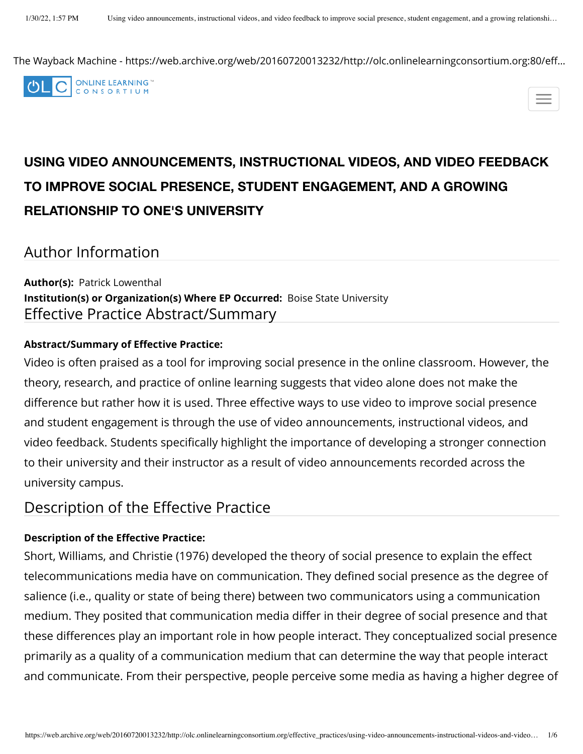The Wayback Machine - https://web.archive.org/web/20160720013232/http://olc.onlinelearningconsortium.org:80/eff…



# **USING VIDEO ANNOUNCEMENTS, INSTRUCTIONAL VIDEOS, AND VIDEO FEEDBACK TO IMPROVE SOCIAL PRESENCE, STUDENT ENGAGEMENT, AND A GROWING RELATIONSHIP TO ONE'S UNIVERSITY**

Author Information

**Author(s):**  Patrick Lowenthal **Institution(s) or Organization(s) Where EP Occurred:**  Boise State University Effective Practice Abstract/Summary

#### **Abstract/Summary of Effective Practice:**

Video is often praised as a tool for improving social presence in the online classroom. However, the theory, research, and practice of online learning suggests that video alone does not make the difference but rather how it is used. Three effective ways to use video to improve social presence and student engagement is through the use of video announcements, instructional videos, and video feedback. Students specifically highlight the importance of developing a stronger connection to their university and their instructor as a result of video announcements recorded across the university campus.

Description of the Effective Practice

#### **Description of the Effective Practice:**

Short, Williams, and Christie (1976) developed the theory of social presence to explain the effect telecommunications media have on communication. They defined social presence as the degree of salience (i.e., quality or state of being there) between two communicators using a communication medium. They posited that communication media differ in their degree of social presence and that these differences play an important role in how people interact. They conceptualized social presence primarily as a quality of a communication medium that can determine the way that people interact and communicate. From their perspective, people perceive some media as having a higher degree of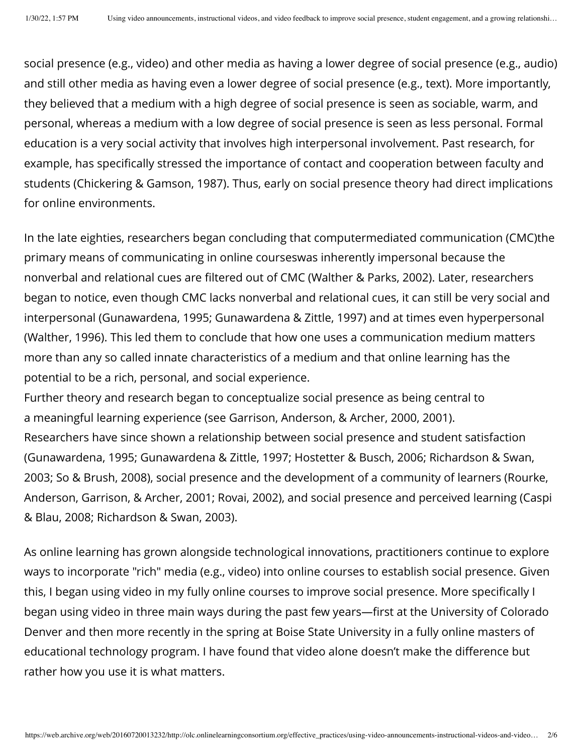social presence (e.g., video) and other media as having a lower degree of social presence (e.g., audio) and still other media as having even a lower degree of social presence (e.g., text). More importantly, they believed that a medium with a high degree of social presence is seen as sociable, warm, and personal, whereas a medium with a low degree of social presence is seen as less personal. Formal education is a very social activity that involves high interpersonal involvement. Past research, for example, has specifically stressed the importance of contact and cooperation between faculty and students (Chickering & Gamson, 1987). Thus, early on social presence theory had direct implications for online environments.

In the late eighties, researchers began concluding that computermediated communication (CMC)the primary means of communicating in online courseswas inherently impersonal because the nonverbal and relational cues are filtered out of CMC (Walther & Parks, 2002). Later, researchers began to notice, even though CMC lacks nonverbal and relational cues, it can still be very social and interpersonal (Gunawardena, 1995; Gunawardena & Zittle, 1997) and at times even hyperpersonal (Walther, 1996). This led them to conclude that how one uses a communication medium matters more than any so called innate characteristics of a medium and that online learning has the potential to be a rich, personal, and social experience.

Further theory and research began to conceptualize social presence as being central to a meaningful learning experience (see Garrison, Anderson, & Archer, 2000, 2001). Researchers have since shown a relationship between social presence and student satisfaction (Gunawardena, 1995; Gunawardena & Zittle, 1997; Hostetter & Busch, 2006; Richardson & Swan, 2003; So & Brush, 2008), social presence and the development of a community of learners (Rourke, Anderson, Garrison, & Archer, 2001; Rovai, 2002), and social presence and perceived learning (Caspi & Blau, 2008; Richardson & Swan, 2003).

As online learning has grown alongside technological innovations, practitioners continue to explore ways to incorporate "rich" media (e.g., video) into online courses to establish social presence. Given this, I began using video in my fully online courses to improve social presence. More specifically I began using video in three main ways during the past few years—first at the University of Colorado Denver and then more recently in the spring at Boise State University in a fully online masters of educational technology program. I have found that video alone doesn't make the difference but rather how you use it is what matters.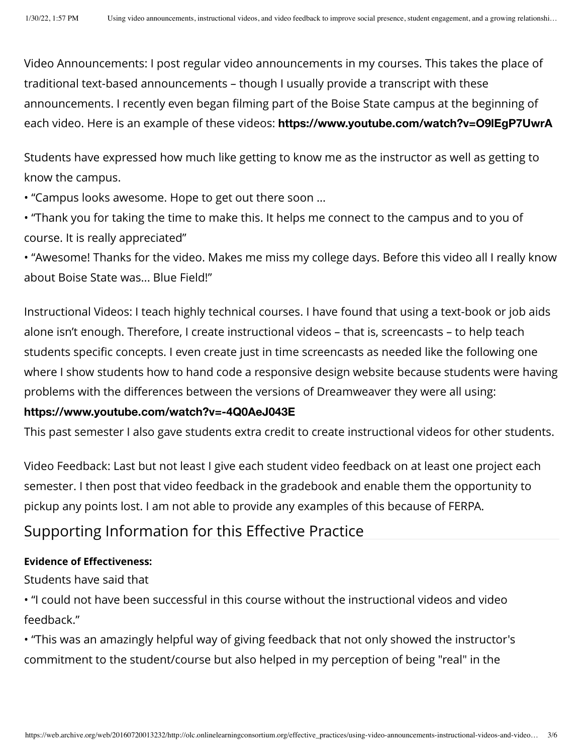Video Announcements: I post regular video announcements in my courses. This takes the place of traditional text-based announcements – though I usually provide a transcript with these announcements. I recently even began filming part of the Boise State campus at the beginning of each video. Here is an example of these videos: **[https://www.youtube.com/watch?v=O9lEgP7UwrA](https://web.archive.org/web/20160720013232/https://www.youtube.com/watch?v=O9lEgP7UwrA)**

Students have expressed how much like getting to know me as the instructor as well as getting to know the campus.

• "Campus looks awesome. Hope to get out there soon ...

• "Thank you for taking the time to make this. It helps me connect to the campus and to you of course. It is really appreciated"

• "Awesome! Thanks for the video. Makes me miss my college days. Before this video all I really know about Boise State was... Blue Field!"

Instructional Videos: I teach highly technical courses. I have found that using a text-book or job aids alone isn't enough. Therefore, I create instructional videos – that is, screencasts – to help teach students specific concepts. I even create just in time screencasts as needed like the following one where I show students how to hand code a responsive design website because students were having problems with the differences between the versions of Dreamweaver they were all using:

#### **[https://www.youtube.com/watch?v=-4Q0AeJ043E](https://web.archive.org/web/20160720013232/https://www.youtube.com/watch?v=-4Q0AeJ043E)**

This past semester I also gave students extra credit to create instructional videos for other students.

Video Feedback: Last but not least I give each student video feedback on at least one project each semester. I then post that video feedback in the gradebook and enable them the opportunity to pickup any points lost. I am not able to provide any examples of this because of FERPA.

### Supporting Information for this Effective Practice

#### **Evidence of Effectiveness:**

Students have said that

• "I could not have been successful in this course without the instructional videos and video feedback."

• "This was an amazingly helpful way of giving feedback that not only showed the instructor's commitment to the student/course but also helped in my perception of being "real" in the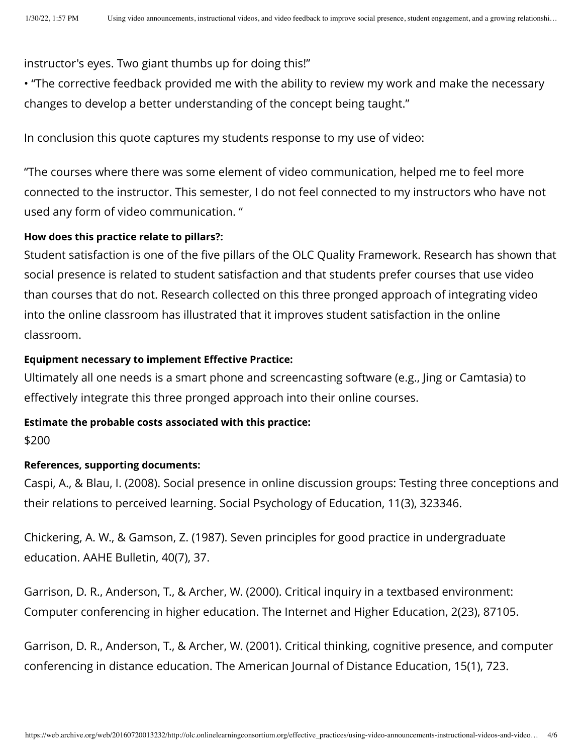instructor's eyes. Two giant thumbs up for doing this!"

• "The corrective feedback provided me with the ability to review my work and make the necessary changes to develop a better understanding of the concept being taught."

In conclusion this quote captures my students response to my use of video:

"The courses where there was some element of video communication, helped me to feel more connected to the instructor. This semester, I do not feel connected to my instructors who have not used any form of video communication. "

#### **How does this practice relate to pillars?:**

Student satisfaction is one of the five pillars of the OLC Quality Framework. Research has shown that social presence is related to student satisfaction and that students prefer courses that use video than courses that do not. Research collected on this three pronged approach of integrating video into the online classroom has illustrated that it improves student satisfaction in the online classroom.

#### **Equipment necessary to implement Effective Practice:**

Ultimately all one needs is a smart phone and screencasting software (e.g., Jing or Camtasia) to effectively integrate this three pronged approach into their online courses.

#### **Estimate the probable costs associated with this practice:**

\$200

#### **References, supporting documents:**

Caspi, A., & Blau, I. (2008). Social presence in online discussion groups: Testing three conceptions and their relations to perceived learning. Social Psychology of Education, 11(3), 323346.

Chickering, A. W., & Gamson, Z. (1987). Seven principles for good practice in undergraduate education. AAHE Bulletin, 40(7), 37.

Garrison, D. R., Anderson, T., & Archer, W. (2000). Critical inquiry in a textbased environment: Computer conferencing in higher education. The Internet and Higher Education, 2(23), 87105.

Garrison, D. R., Anderson, T., & Archer, W. (2001). Critical thinking, cognitive presence, and computer conferencing in distance education. The American Journal of Distance Education, 15(1), 723.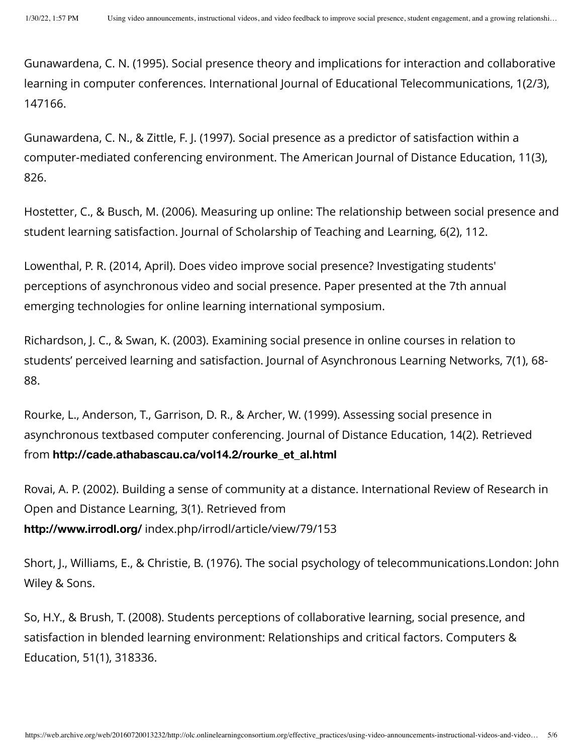Gunawardena, C. N. (1995). Social presence theory and implications for interaction and collaborative learning in computer conferences. International Journal of Educational Telecommunications, 1(2/3), 147166.

Gunawardena, C. N., & Zittle, F. J. (1997). Social presence as a predictor of satisfaction within a computer-mediated conferencing environment. The American Journal of Distance Education, 11(3), 826.

Hostetter, C., & Busch, M. (2006). Measuring up online: The relationship between social presence and student learning satisfaction. Journal of Scholarship of Teaching and Learning, 6(2), 112.

Lowenthal, P. R. (2014, April). Does video improve social presence? Investigating students' perceptions of asynchronous video and social presence. Paper presented at the 7th annual emerging technologies for online learning international symposium.

Richardson, J. C., & Swan, K. (2003). Examining social presence in online courses in relation to students' perceived learning and satisfaction. Journal of Asynchronous Learning Networks, 7(1), 68- 88.

Rourke, L., Anderson, T., Garrison, D. R., & Archer, W. (1999). Assessing social presence in asynchronous textbased computer conferencing. Journal of Distance Education, 14(2). Retrieved from **[http://cade.athabascau.ca/vol14.2/rourke\\_et\\_al.html](https://web.archive.org/web/20160720013232/http://cade.athabascau.ca/vol14.2/rourke_et_al.html)**

Rovai, A. P. (2002). Building a sense of community at a distance. International Review of Research in Open and Distance Learning, 3(1). Retrieved from **[http://www.irrodl.org/](https://web.archive.org/web/20160720013232/http://www.irrodl.org/)** index.php/irrodl/article/view/79/153

Short, J., Williams, E., & Christie, B. (1976). The social psychology of telecommunications.London: John Wiley & Sons.

So, H.Y., & Brush, T. (2008). Students perceptions of collaborative learning, social presence, and satisfaction in blended learning environment: Relationships and critical factors. Computers & Education, 51(1), 318336.